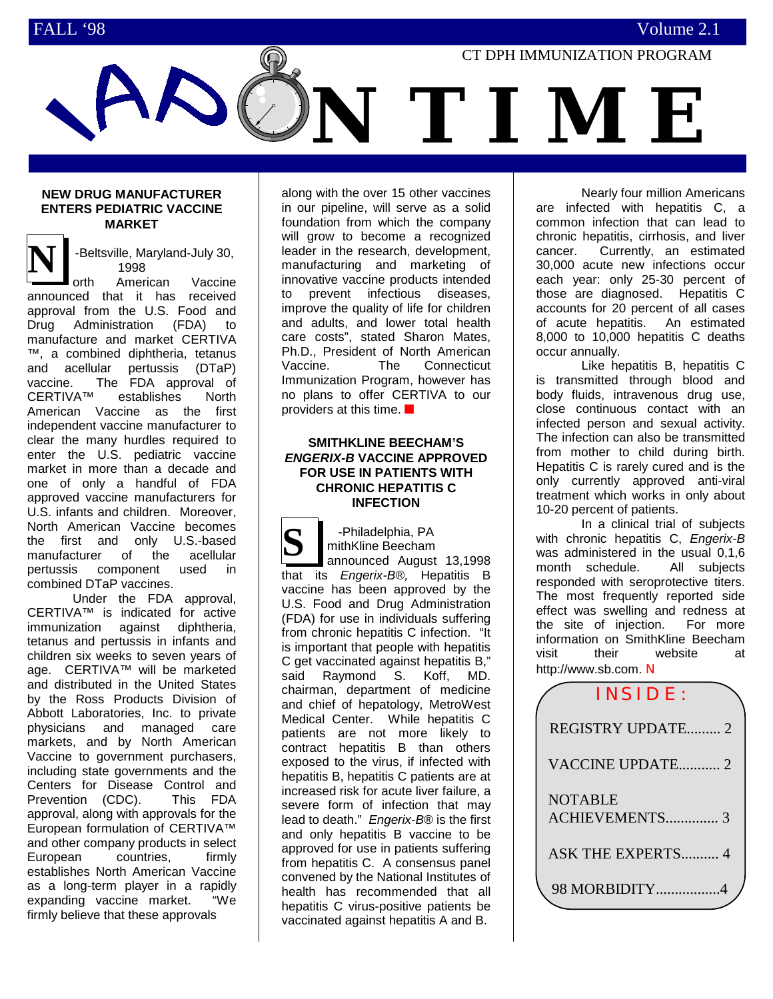

## **NEW DRUG MANUFACTURER ENTERS PEDIATRIC VACCINE MARKET**

-Beltsville, Maryland-July 30, 1998

**N** orth American Vaccine announced that it has received approval from the U.S. Food and Drug Administration (FDA) to manufacture and market CERTIVA ™, a combined diphtheria, tetanus and acellular pertussis (DTaP) vaccine. The FDA approval of CERTIVA™ establishes North American Vaccine as the first independent vaccine manufacturer to clear the many hurdles required to enter the U.S. pediatric vaccine market in more than a decade and one of only a handful of FDA approved vaccine manufacturers for U.S. infants and children. Moreover, North American Vaccine becomes the first and only U.S.-based manufacturer of the acellular pertussis component used in combined DTaP vaccines.

Under the FDA approval, CERTIVA™ is indicated for active immunization against diphtheria, tetanus and pertussis in infants and children six weeks to seven years of age. CERTIVA™ will be marketed and distributed in the United States by the Ross Products Division of Abbott Laboratories, Inc. to private physicians and managed care markets, and by North American Vaccine to government purchasers, including state governments and the Centers for Disease Control and Prevention (CDC). This FDA approval, along with approvals for the European formulation of CERTIVA™ and other company products in select European countries, firmly establishes North American Vaccine as a long-term player in a rapidly expanding vaccine market. "We firmly believe that these approvals

along with the over 15 other vaccines in our pipeline, will serve as a solid foundation from which the company will grow to become a recognized leader in the research, development, manufacturing and marketing of innovative vaccine products intended to prevent infectious diseases, improve the quality of life for children and adults, and lower total health care costs", stated Sharon Mates, Ph.D., President of North American Vaccine. The Connecticut Immunization Program, however has no plans to offer CERTIVA to our providers at this time. ■

# **SMITHKLINE BEECHAM'S** *ENGERIX-B* **VACCINE APPROVED FOR USE IN PATIENTS WITH CHRONIC HEPATITIS C INFECTION**

**S** -Philadelphia, PA mithKline Beecham announced August 13,1998 that its *Engerix-B®,* Hepatitis B vaccine has been approved by the U.S. Food and Drug Administration (FDA) for use in individuals suffering from chronic hepatitis C infection. "It is important that people with hepatitis C get vaccinated against hepatitis B," said Raymond S. Koff, MD. chairman, department of medicine and chief of hepatology, MetroWest Medical Center. While hepatitis C patients are not more likely to contract hepatitis B than others exposed to the virus, if infected with hepatitis B, hepatitis C patients are at increased risk for acute liver failure, a severe form of infection that may lead to death." *Engerix-B*® is the first and only hepatitis B vaccine to be approved for use in patients suffering from hepatitis C. A consensus panel convened by the National Institutes of health has recommended that all hepatitis C virus-positive patients be vaccinated against hepatitis A and B.

Nearly four million Americans are infected with hepatitis C, a common infection that can lead to chronic hepatitis, cirrhosis, and liver cancer. Currently, an estimated 30,000 acute new infections occur each year: only 25-30 percent of those are diagnosed. Hepatitis C accounts for 20 percent of all cases of acute hepatitis. An estimated 8,000 to 10,000 hepatitis C deaths occur annually.

Like hepatitis B, hepatitis C is transmitted through blood and body fluids, intravenous drug use, close continuous contact with an infected person and sexual activity. The infection can also be transmitted from mother to child during birth. Hepatitis C is rarely cured and is the only currently approved anti-viral treatment which works in only about 10-20 percent of patients.

In a clinical trial of subjects with chronic hepatitis C, *Engerix-B* was administered in the usual 0,1,6 month schedule. All subjects responded with seroprotective titers. The most frequently reported side effect was swelling and redness at the site of injection. For more information on SmithKline Beecham visit their website at http://www.sb.com. Ν

| <b>INSIDE:</b>                   |
|----------------------------------|
| <b>REGISTRY UPDATE 2</b>         |
| VACCINE UPDATE 2                 |
| <b>NOTABLE</b><br>ACHIEVEMENTS 3 |
| <b>ASK THE EXPERTS 4</b>         |
| 98 MORBIDITY4                    |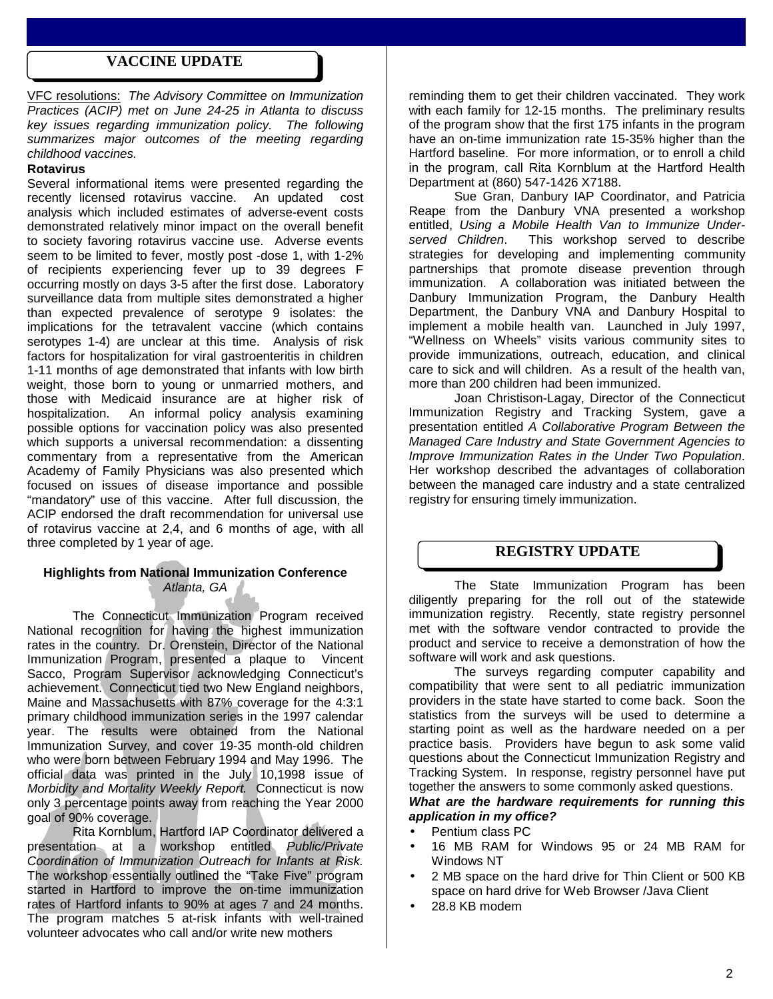# **VACCINE UPDATE**

VFC resolutions: *The Advisory Committee on Immunization Practices (ACIP) met on June 24-25 in Atlanta to discuss key issues regarding immunization policy. The following summarizes major outcomes of the meeting regarding childhood vaccines.*

# **Rotavirus**

Several informational items were presented regarding the recently licensed rotavirus vaccine. An updated cost analysis which included estimates of adverse-event costs demonstrated relatively minor impact on the overall benefit to society favoring rotavirus vaccine use. Adverse events seem to be limited to fever, mostly post -dose 1, with 1-2% of recipients experiencing fever up to 39 degrees F occurring mostly on days 3-5 after the first dose. Laboratory surveillance data from multiple sites demonstrated a higher than expected prevalence of serotype 9 isolates: the implications for the tetravalent vaccine (which contains serotypes 1-4) are unclear at this time. Analysis of risk factors for hospitalization for viral gastroenteritis in children 1-11 months of age demonstrated that infants with low birth weight, those born to young or unmarried mothers, and those with Medicaid insurance are at higher risk of hospitalization. An informal policy analysis examining possible options for vaccination policy was also presented which supports a universal recommendation: a dissenting commentary from a representative from the American Academy of Family Physicians was also presented which focused on issues of disease importance and possible "mandatory" use of this vaccine. After full discussion, the ACIP endorsed the draft recommendation for universal use of rotavirus vaccine at 2,4, and 6 months of age, with all three completed by 1 year of age.

## **Highlights from National Immunization Conference** *Atlanta, GA*

The Connecticut Immunization Program received National recognition for having the highest immunization rates in the country. Dr. Orenstein, Director of the National Immunization Program, presented a plaque to Vincent Sacco, Program Supervisor acknowledging Connecticut's achievement. Connecticut tied two New England neighbors, Maine and Massachusetts with 87% coverage for the 4:3:1 primary childhood immunization series in the 1997 calendar year. The results were obtained from the National Immunization Survey, and cover 19-35 month-old children who were born between February 1994 and May 1996. The official data was printed in the July 10,1998 issue of *Morbidity and Mortality Weekly Report.* Connecticut is now only 3 percentage points away from reaching the Year 2000 goal of 90% coverage.

Rita Kornblum, Hartford IAP Coordinator delivered a presentation at a workshop entitled *Public/Private Coordination of Immunization Outreach for Infants at Risk.* The workshop essentially outlined the "Take Five" program started in Hartford to improve the on-time immunization rates of Hartford infants to 90% at ages 7 and 24 months. The program matches 5 at-risk infants with well-trained volunteer advocates who call and/or write new mothers

reminding them to get their children vaccinated. They work with each family for 12-15 months. The preliminary results of the program show that the first 175 infants in the program have an on-time immunization rate 15-35% higher than the Hartford baseline. For more information, or to enroll a child in the program, call Rita Kornblum at the Hartford Health Department at (860) 547-1426 X7188.

Sue Gran, Danbury IAP Coordinator, and Patricia Reape from the Danbury VNA presented a workshop entitled, *Using a Mobile Health Van to Immunize Under-*This workshop served to describe strategies for developing and implementing community partnerships that promote disease prevention through immunization. A collaboration was initiated between the Danbury Immunization Program, the Danbury Health Department, the Danbury VNA and Danbury Hospital to implement a mobile health van. Launched in July 1997, "Wellness on Wheels" visits various community sites to provide immunizations, outreach, education, and clinical care to sick and will children. As a result of the health van, more than 200 children had been immunized.

Joan Christison-Lagay, Director of the Connecticut Immunization Registry and Tracking System, gave a presentation entitled *A Collaborative Program Between the Managed Care Industry and State Government Agencies to Improve Immunization Rates in the Under Two Population*. Her workshop described the advantages of collaboration between the managed care industry and a state centralized registry for ensuring timely immunization.

# **REGISTRY UPDATE**

The State Immunization Program has been diligently preparing for the roll out of the statewide immunization registry. Recently, state registry personnel met with the software vendor contracted to provide the product and service to receive a demonstration of how the software will work and ask questions.

The surveys regarding computer capability and compatibility that were sent to all pediatric immunization providers in the state have started to come back. Soon the statistics from the surveys will be used to determine a starting point as well as the hardware needed on a per practice basis. Providers have begun to ask some valid questions about the Connecticut Immunization Registry and Tracking System. In response, registry personnel have put together the answers to some commonly asked questions.

# *What are the hardware requirements for running this application in my office?*

- Pentium class PC
- 16 MB RAM for Windows 95 or 24 MB RAM for Windows NT
- 2 MB space on the hard drive for Thin Client or 500 KB space on hard drive for Web Browser /Java Client
- 28.8 KB modem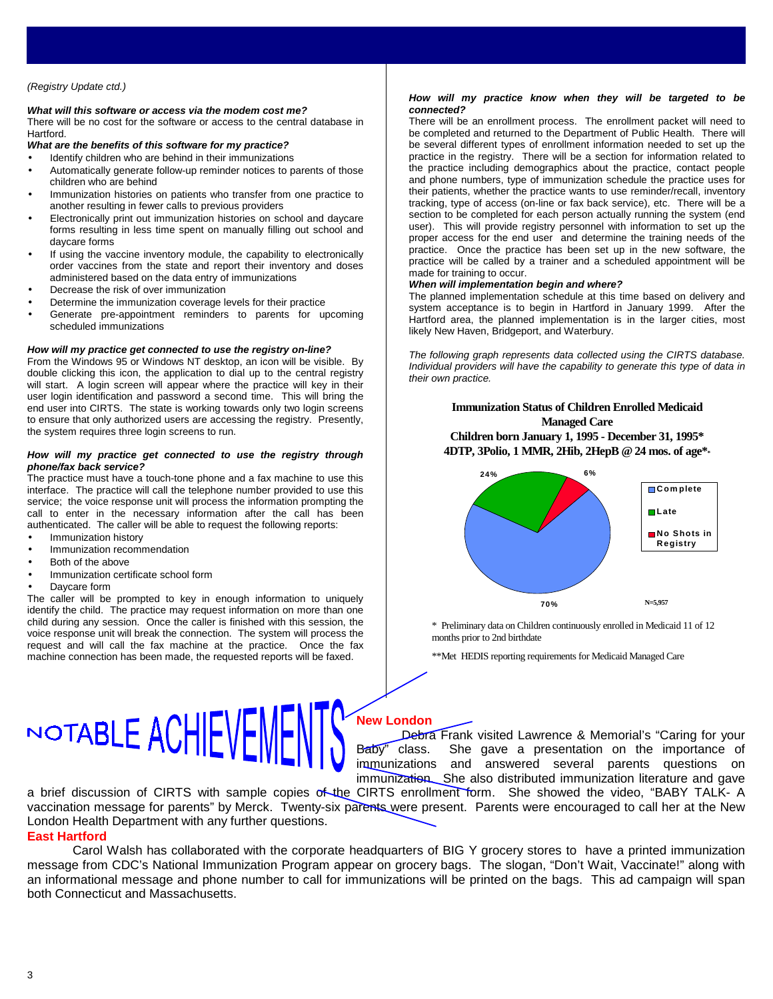#### *(Registry Update ctd.)*

#### *What will this software or access via the modem cost me?*

There will be no cost for the software or access to the central database in Hartford.

*What are the benefits of this software for my practice?*

- Identify children who are behind in their immunizations
- Automatically generate follow-up reminder notices to parents of those children who are behind
- Immunization histories on patients who transfer from one practice to another resulting in fewer calls to previous providers
- Electronically print out immunization histories on school and daycare forms resulting in less time spent on manually filling out school and daycare forms
- If using the vaccine inventory module, the capability to electronically order vaccines from the state and report their inventory and doses administered based on the data entry of immunizations
- Decrease the risk of over immunization
- Determine the immunization coverage levels for their practice
- Generate pre-appointment reminders to parents for upcoming scheduled immunizations

#### *How will my practice get connected to use the registry on-line?*

From the Windows 95 or Windows NT desktop, an icon will be visible. By double clicking this icon, the application to dial up to the central registry will start. A login screen will appear where the practice will key in their user login identification and password a second time. This will bring the end user into CIRTS. The state is working towards only two login screens to ensure that only authorized users are accessing the registry. Presently, the system requires three login screens to run.

#### *How will my practice get connected to use the registry through phone/fax back service?*

The practice must have a touch-tone phone and a fax machine to use this interface. The practice will call the telephone number provided to use this service; the voice response unit will process the information prompting the call to enter in the necessary information after the call has been authenticated. The caller will be able to request the following reports:

- Immunization history
- Immunization recommendation
- Both of the above
- Immunization certificate school form
- Davcare form

The caller will be prompted to key in enough information to uniquely identify the child. The practice may request information on more than one child during any session. Once the caller is finished with this session, the voice response unit will break the connection. The system will process the request and will call the fax machine at the practice. Once the fax machine connection has been made, the requested reports will be faxed.

#### *How will my practice know when they will be targeted to be connected?*

There will be an enrollment process. The enrollment packet will need to be completed and returned to the Department of Public Health. There will be several different types of enrollment information needed to set up the practice in the registry. There will be a section for information related to the practice including demographics about the practice, contact people and phone numbers, type of immunization schedule the practice uses for their patients, whether the practice wants to use reminder/recall, inventory tracking, type of access (on-line or fax back service), etc. There will be a section to be completed for each person actually running the system (end user). This will provide registry personnel with information to set up the proper access for the end user and determine the training needs of the practice. Once the practice has been set up in the new software, the practice will be called by a trainer and a scheduled appointment will be made for training to occur.

#### *When will implementation begin and where?*

The planned implementation schedule at this time based on delivery and system acceptance is to begin in Hartford in January 1999. After the Hartford area, the planned implementation is in the larger cities, most likely New Haven, Bridgeport, and Waterbury.

*The following graph represents data collected using the CIRTS database. Individual providers will have the capability to generate this type of data in their own practice.*

## **Immunization Status of Children Enrolled Medicaid Managed Care Children born January 1, 1995 - December 31, 1995\* 4DTP, 3Polio, 1 MMR, 2Hib, 2HepB @ 24 mos. of age\*\***



\* Preliminary data on Children continuously enrolled in Medicaid 11 of 12 months prior to 2nd birthdate

\*\*Met HEDIS reporting requirements for Medicaid Managed Care

# NOTABLE ACHIEVEMF **New London**

Debra Frank visited Lawrence & Memorial's "Caring for your Baby" class. She gave a presentation on the importance of immunizations and answered several parents questions on immunization. She also distributed immunization literature and gave

a brief discussion of CIRTS with sample copies of the CIRTS enrollment form. She showed the video, "BABY TALK- A vaccination message for parents" by Merck. Twenty-six parents were present. Parents were encouraged to call her at the New London Health Department with any further questions. **East Hartford**

Carol Walsh has collaborated with the corporate headquarters of BIG Y grocery stores to have a printed immunization message from CDC's National Immunization Program appear on grocery bags. The slogan, "Don't Wait, Vaccinate!" along with an informational message and phone number to call for immunizations will be printed on the bags. This ad campaign will span both Connecticut and Massachusetts.